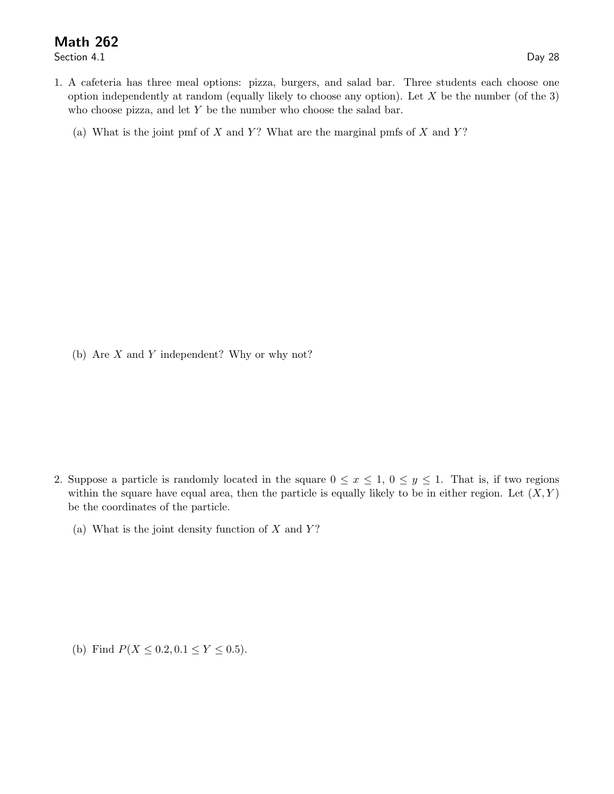## Math 262

Section 4.1 Day 28

- 1. A cafeteria has three meal options: pizza, burgers, and salad bar. Three students each choose one option independently at random (equally likely to choose any option). Let  $X$  be the number (of the 3) who choose pizza, and let  $Y$  be the number who choose the salad bar.
	- (a) What is the joint pmf of  $X$  and  $Y$ ? What are the marginal pmfs of  $X$  and  $Y$ ?

(b) Are X and Y independent? Why or why not?

- 2. Suppose a particle is randomly located in the square  $0 \le x \le 1$ ,  $0 \le y \le 1$ . That is, if two regions within the square have equal area, then the particle is equally likely to be in either region. Let  $(X, Y)$ be the coordinates of the particle.
	- (a) What is the joint density function of  $X$  and  $Y$ ?

(b) Find  $P(X \le 0.2, 0.1 \le Y \le 0.5)$ .